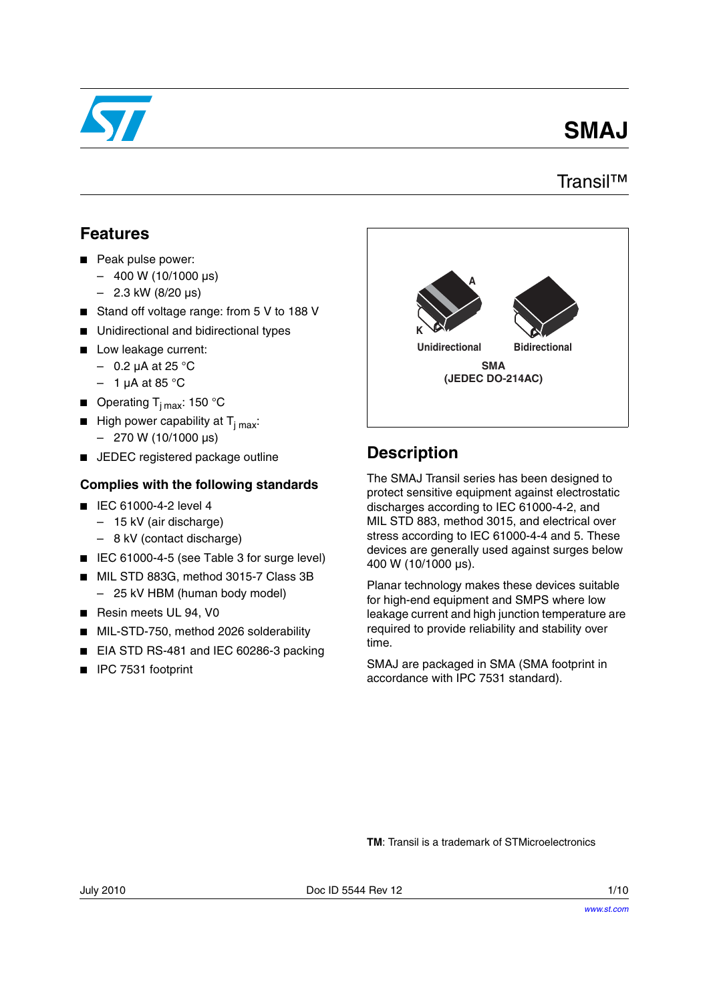

# **SMAJ**

### Transil™

### **Features**

- Peak pulse power:
	- $-400 W (10/1000 \,\mu s)$
	- $-$  2.3 kW (8/20 μs)
- Stand off voltage range: from 5 V to 188 V
- Unidirectional and bidirectional types
- Low leakage current:
	- $-$  0.2 μA at 25 °C
	- $-1$  µA at 85 °C
- **■** Operating  $T_{i \text{ max}}$ : 150 °C
- **■** High power capability at  $T_{j max}$ :  $-$  270 W (10/1000 µs)
- JEDEC registered package outline

### **Complies with the following standards**

- IEC 61000-4-2 level 4
	- 15 kV (air discharge)
	- 8 kV (contact discharge)
- IEC 61000-4-5 (see Table 3 for surge level)
- MIL STD 883G, method 3015-7 Class 3B – 25 kV HBM (human body model)
- Resin meets UL 94, V0
- MIL-STD-750, method 2026 solderability
- EIA STD RS-481 and IEC 60286-3 packing
- IPC 7531 footprint



### **Description**

The SMAJ Transil series has been designed to protect sensitive equipment against electrostatic discharges according to IEC 61000-4-2, and MIL STD 883, method 3015, and electrical over stress according to IEC 61000-4-4 and 5. These devices are generally used against surges below 400 W (10/1000 μs).

Planar technology makes these devices suitable for high-end equipment and SMPS where low leakage current and high junction temperature are required to provide reliability and stability over time.

SMAJ are packaged in SMA (SMA footprint in accordance with IPC 7531 standard).

**TM**: Transil is a trademark of STMicroelectronics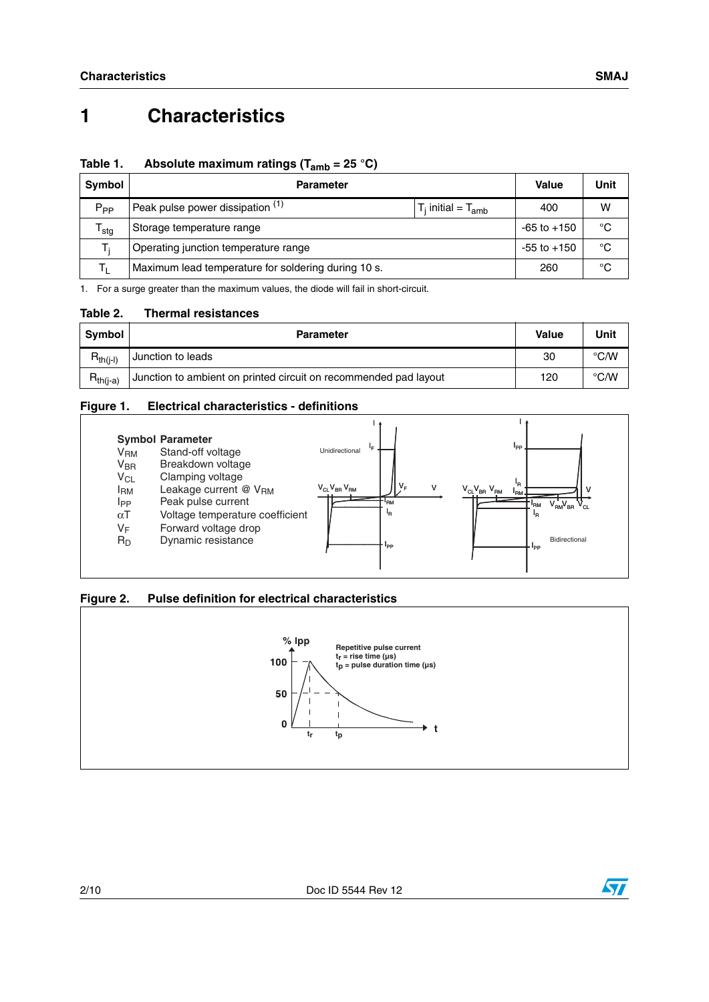### **Table 1. Absolute maximum ratings (Tamb = 25 °C)**

| Symbol           | <b>Parameter</b>                                    | <b>Value</b>              | Unit |   |
|------------------|-----------------------------------------------------|---------------------------|------|---|
| $P_{PP}$         | Peak pulse power dissipation (1)                    | $T_i$ initial = $T_{amb}$ | 400  | w |
| <sup>l</sup> stg | Storage temperature range                           | $-65$ to $+150$           | °C   |   |
|                  | Operating junction temperature range                | $-55$ to $+150$           | °C   |   |
|                  | Maximum lead temperature for soldering during 10 s. | 260                       | °C   |   |

1. For a surge greater than the maximum values, the diode will fail in short-circuit.

#### **Table 2. Thermal resistances**

| <b>Symbol</b> | <b>Parameter</b>                                                 | <b>Value</b> | Unit          |
|---------------|------------------------------------------------------------------|--------------|---------------|
| $R_{th(i-l)}$ | Junction to leads                                                | 30           | $\degree$ C/W |
| $R_{th(i-a)}$ | Junction to ambient on printed circuit on recommended pad layout | 120          | °C/W          |

#### **Figure 1. Electrical characteristics - definitions**



### **Figure 2. Pulse definition for electrical characteristics**



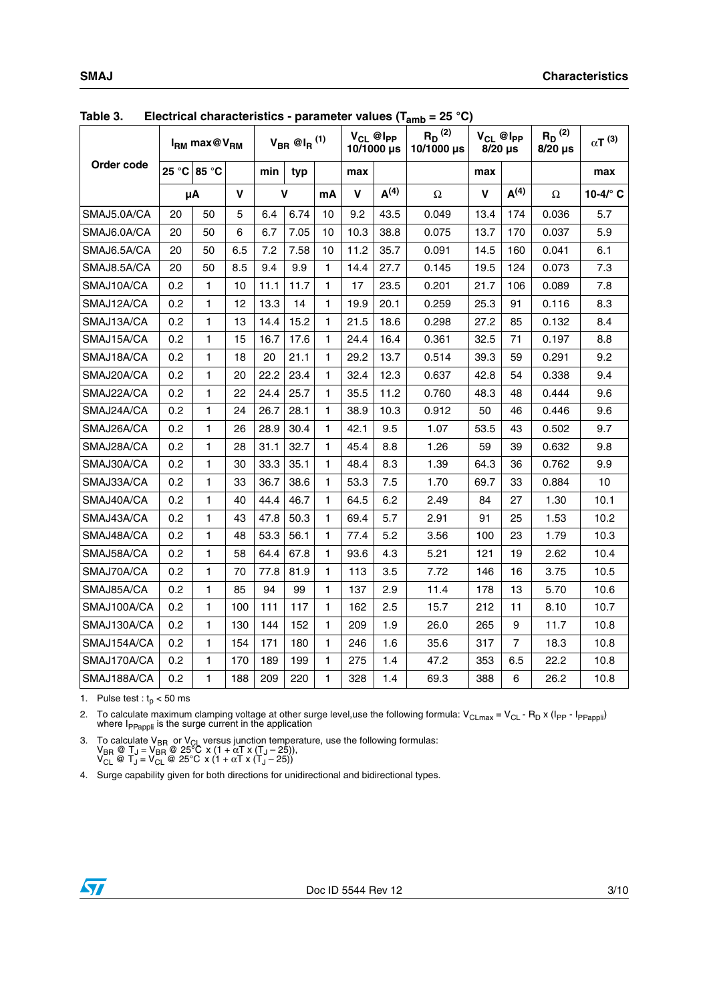|             | $E$ iectrical characteristics - parameter values (Tamb | $I_{\rm RM}$ max@ $V_{\rm RM}$ |     |      | $V_{BR}$ @I <sub>R</sub> $^{(1)}$ |              |      | $V_{CL}$ @ $I_{PP}$<br>10/1000 µs | - 20 U<br>$R_D^{(2)}$<br>10/1000 µs | $8/20$ µs   | $V_{CL}$ @ $I_{PP}$ | $R_D^{(2)}$<br>$8/20$ µs | $\alpha T^{(3)}$  |
|-------------|--------------------------------------------------------|--------------------------------|-----|------|-----------------------------------|--------------|------|-----------------------------------|-------------------------------------|-------------|---------------------|--------------------------|-------------------|
| Order code  |                                                        | 25 °C 85 °C                    |     | min  | typ                               |              | max  |                                   |                                     | max         |                     |                          | max               |
|             |                                                        | μA                             | V   |      | $\mathbf v$                       | mA           | V    | A <sup>(4)</sup>                  | $\Omega$                            | $\mathbf v$ | A <sup>(4)</sup>    | Ω                        | 10-4/ $\degree$ C |
| SMAJ5.0A/CA | 20                                                     | 50                             | 5   | 6.4  | 6.74                              | 10           | 9.2  | 43.5                              | 0.049                               | 13.4        | 174                 | 0.036                    | 5.7               |
| SMAJ6.0A/CA | 20                                                     | 50                             | 6   | 6.7  | 7.05                              | 10           | 10.3 | 38.8                              | 0.075                               | 13.7        | 170                 | 0.037                    | 5.9               |
| SMAJ6.5A/CA | 20                                                     | 50                             | 6.5 | 7.2  | 7.58                              | 10           | 11.2 | 35.7                              | 0.091                               | 14.5        | 160                 | 0.041                    | 6.1               |
| SMAJ8.5A/CA | 20                                                     | 50                             | 8.5 | 9.4  | 9.9                               | $\mathbf{1}$ | 14.4 | 27.7                              | 0.145                               | 19.5        | 124                 | 0.073                    | 7.3               |
| SMAJ10A/CA  | 0.2                                                    | 1                              | 10  | 11.1 | 11.7                              | 1            | 17   | 23.5                              | 0.201                               | 21.7        | 106                 | 0.089                    | 7.8               |
| SMAJ12A/CA  | 0.2                                                    | 1                              | 12  | 13.3 | 14                                | 1            | 19.9 | 20.1                              | 0.259                               | 25.3        | 91                  | 0.116                    | 8.3               |
| SMAJ13A/CA  | 0.2                                                    | 1                              | 13  | 14.4 | 15.2                              | $\mathbf{1}$ | 21.5 | 18.6                              | 0.298                               | 27.2        | 85                  | 0.132                    | 8.4               |
| SMAJ15A/CA  | 0.2                                                    | 1                              | 15  | 16.7 | 17.6                              | 1            | 24.4 | 16.4                              | 0.361                               | 32.5        | 71                  | 0.197                    | 8.8               |
| SMAJ18A/CA  | 0.2                                                    | $\mathbf{1}$                   | 18  | 20   | 21.1                              | $\mathbf{1}$ | 29.2 | 13.7                              | 0.514                               | 39.3        | 59                  | 0.291                    | 9.2               |
| SMAJ20A/CA  | 0.2                                                    | 1                              | 20  | 22.2 | 23.4                              | 1            | 32.4 | 12.3                              | 0.637                               | 42.8        | 54                  | 0.338                    | 9.4               |
| SMAJ22A/CA  | 0.2                                                    | 1                              | 22  | 24.4 | 25.7                              | 1            | 35.5 | 11.2                              | 0.760                               | 48.3        | 48                  | 0.444                    | 9.6               |
| SMAJ24A/CA  | 0.2                                                    | 1                              | 24  | 26.7 | 28.1                              | $\mathbf{1}$ | 38.9 | 10.3                              | 0.912                               | 50          | 46                  | 0.446                    | 9.6               |
| SMAJ26A/CA  | 0.2                                                    | 1                              | 26  | 28.9 | 30.4                              | 1            | 42.1 | 9.5                               | 1.07                                | 53.5        | 43                  | 0.502                    | 9.7               |
| SMAJ28A/CA  | 0.2                                                    | 1                              | 28  | 31.1 | 32.7                              | 1            | 45.4 | 8.8                               | 1.26                                | 59          | 39                  | 0.632                    | 9.8               |
| SMAJ30A/CA  | 0.2                                                    | 1                              | 30  | 33.3 | 35.1                              | 1            | 48.4 | 8.3                               | 1.39                                | 64.3        | 36                  | 0.762                    | 9.9               |
| SMAJ33A/CA  | 0.2                                                    | 1                              | 33  | 36.7 | 38.6                              | 1            | 53.3 | 7.5                               | 1.70                                | 69.7        | 33                  | 0.884                    | 10                |
| SMAJ40A/CA  | 0.2                                                    | 1                              | 40  | 44.4 | 46.7                              | 1            | 64.5 | 6.2                               | 2.49                                | 84          | 27                  | 1.30                     | 10.1              |
| SMAJ43A/CA  | 0.2                                                    | $\mathbf{1}$                   | 43  | 47.8 | 50.3                              | $\mathbf{1}$ | 69.4 | 5.7                               | 2.91                                | 91          | 25                  | 1.53                     | 10.2              |
| SMAJ48A/CA  | 0.2                                                    | 1                              | 48  | 53.3 | 56.1                              | 1            | 77.4 | 5.2                               | 3.56                                | 100         | 23                  | 1.79                     | 10.3              |
| SMAJ58A/CA  | 0.2                                                    | $\mathbf{1}$                   | 58  | 64.4 | 67.8                              | 1            | 93.6 | 4.3                               | 5.21                                | 121         | 19                  | 2.62                     | 10.4              |
| SMAJ70A/CA  | 0.2                                                    | 1                              | 70  | 77.8 | 81.9                              | 1            | 113  | 3.5                               | 7.72                                | 146         | 16                  | 3.75                     | 10.5              |
| SMAJ85A/CA  | 0.2                                                    | 1                              | 85  | 94   | 99                                | 1            | 137  | 2.9                               | 11.4                                | 178         | 13                  | 5.70                     | 10.6              |
| SMAJ100A/CA | 0.2                                                    | 1                              | 100 | 111  | 117                               | $\mathbf{1}$ | 162  | 2.5                               | 15.7                                | 212         | 11                  | 8.10                     | 10.7              |
| SMAJ130A/CA | 0.2                                                    | 1                              | 130 | 144  | 152                               | 1            | 209  | 1.9                               | 26.0                                | 265         | 9                   | 11.7                     | 10.8              |
| SMAJ154A/CA | 0.2                                                    | 1                              | 154 | 171  | 180                               | 1            | 246  | 1.6                               | 35.6                                | 317         | $\overline{7}$      | 18.3                     | 10.8              |
| SMAJ170A/CA | 0.2                                                    | 1                              | 170 | 189  | 199                               | 1            | 275  | 1.4                               | 47.2                                | 353         | 6.5                 | 22.2                     | 10.8              |
| SMAJ188A/CA | 0.2                                                    | $\mathbf{1}$                   | 188 | 209  | 220                               | 1            | 328  | 1.4                               | 69.3                                | 388         | 6                   | 26.2                     | 10.8              |

<span id="page-2-0"></span>**Table 3. Electrical characteristics - parameter values (Tamb = 25 °C)**

1. Pulse test :  $t_p < 50$  ms

2. To calculate maximum clamping voltage at other surge level,use the following formula: V<sub>CLmax</sub> = V<sub>CL</sub> - R<sub>D</sub> x (I<sub>PP</sub> - I<sub>PPappli</sub>)<br>where I<sub>PPappli</sub> is the surge current in the application

3. To calculate V<sub>BR</sub> or V<sub>CL</sub> versus junction temperature, use the following formulas:<br>
V<sub>BR</sub> @ T<sub>J</sub> = V<sub>BR</sub> @ 25°C x (1 + αT x (T<sub>J</sub> – 25)),<br>
V<sub>CL</sub> @ T<sub>J</sub> = V<sub>CL</sub> @ 25°C x (1 + αT x (T<sub>J</sub> – 25))

4. Surge capability given for both directions for unidirectional and bidirectional types.

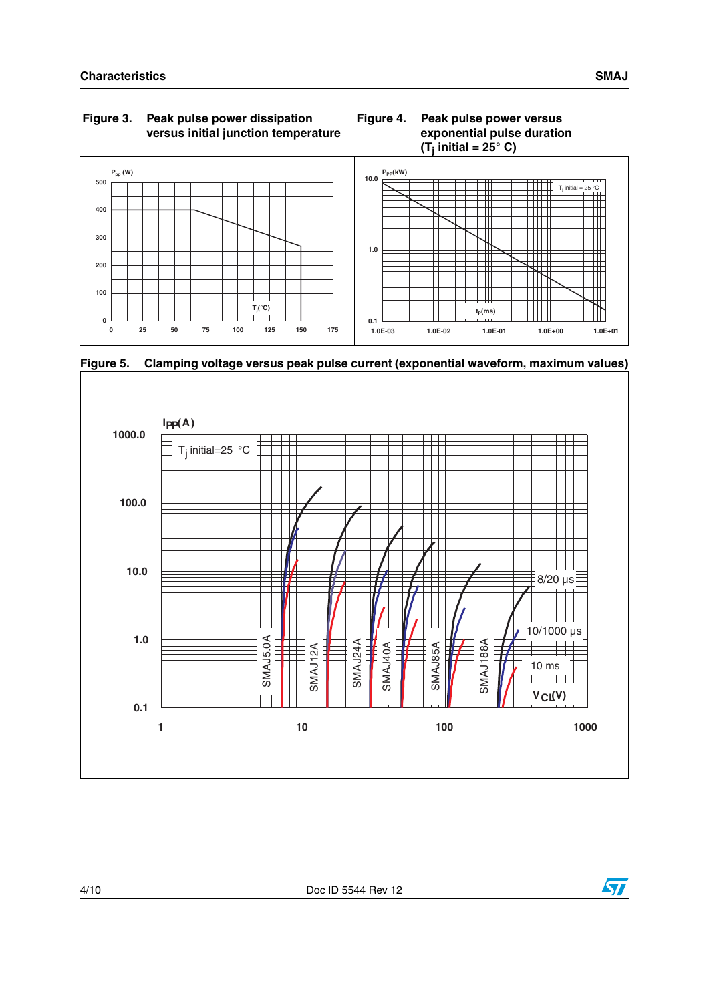



**Figure 5. Clamping voltage versus peak pulse current (exponential waveform, maximum values)**



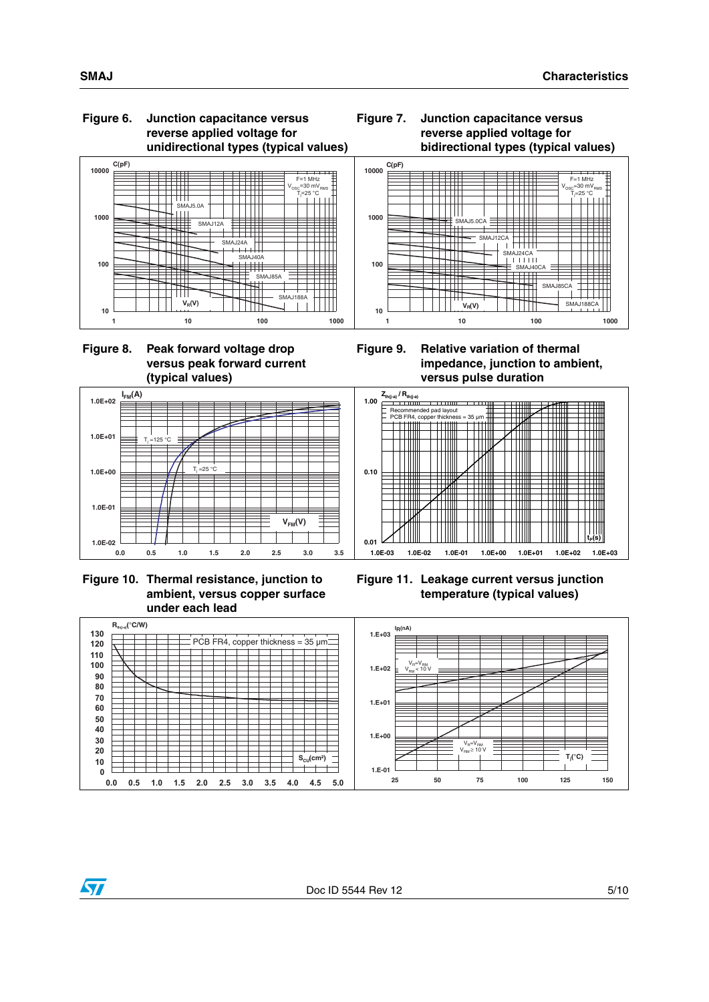#### **Figure 6. Junction capacitance versus reverse applied voltage for unidirectional types (typical values)**







**IFM(A)**

 $=125$  °C

**1.0E-02**

**1.0E-01**

**1.0E+00**

**1.0E+01**

**1.0E+02**

<span id="page-4-0"></span>











**tP(s)**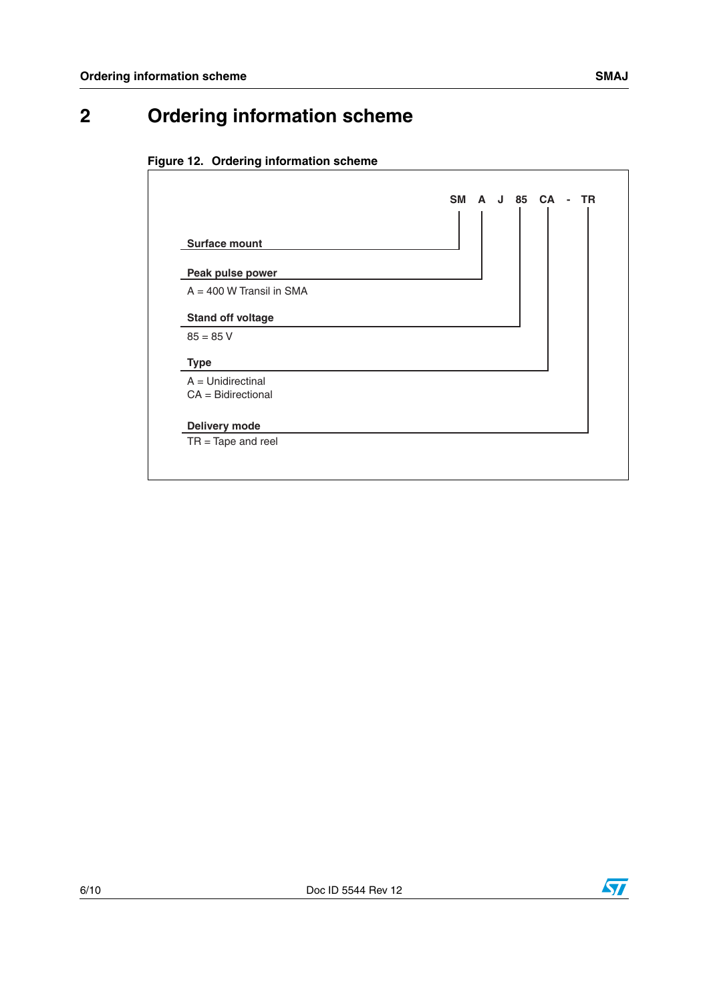## **2 Ordering information scheme**





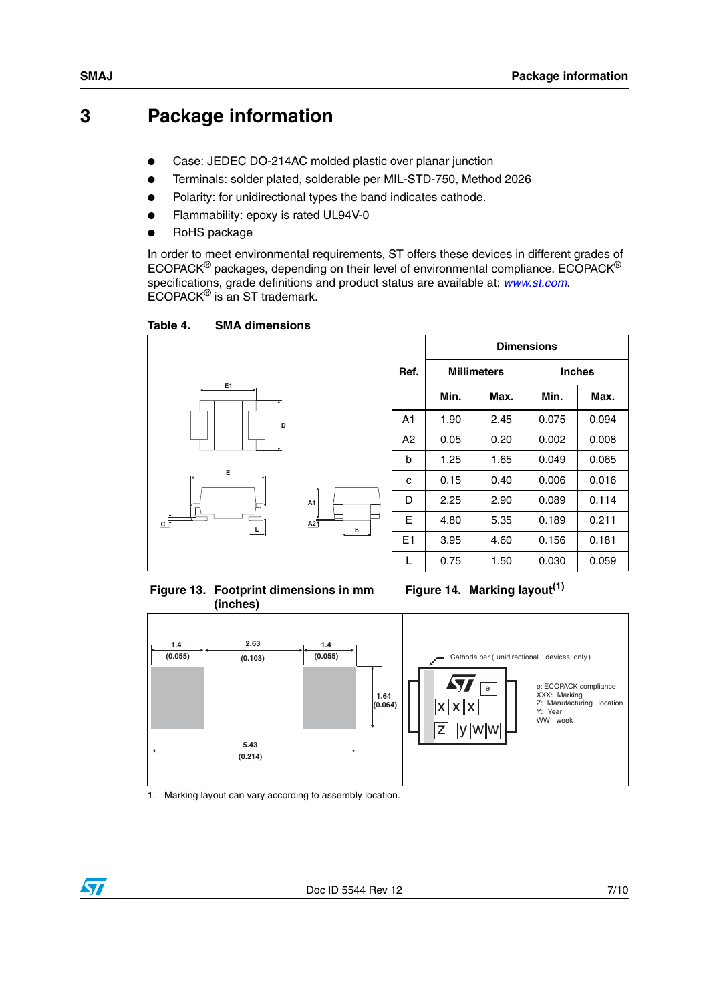### <span id="page-6-0"></span>**3 Package information**

- Case: JEDEC DO-214AC molded plastic over planar junction
- Terminals: solder plated, solderable per MIL-STD-750, Method 2026
- Polarity: for unidirectional types the band indicates cathode.
- Flammability: epoxy is rated UL94V-0
- RoHS package

In order to meet environmental requirements, ST offers these devices in different grades of ECOPACK® packages, depending on their level of environmental compliance. ECOPACK® specifications, grade definitions and product status are available at: *[www.st.com](http://www.st.com)*. ECOPACK® is an ST trademark.

Table 4. **SMA dimensions** 



**Figure 13. Footprint dimensions in mm (inches)** 

**Figure 14. Marking layout(1)**



1. Marking layout can vary according to assembly location.

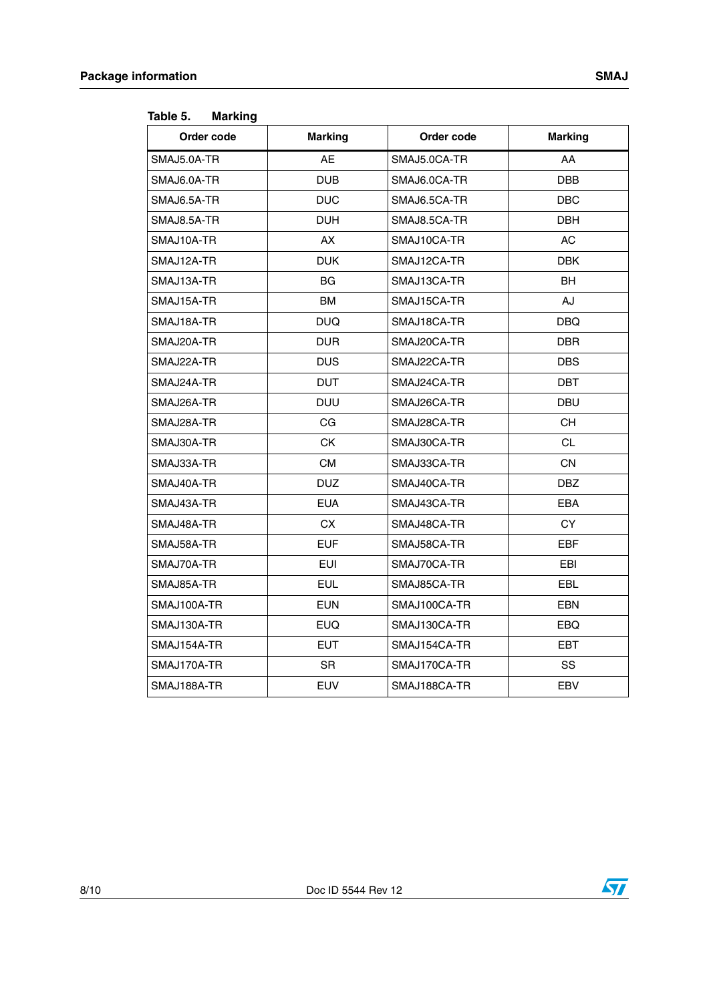| Order code  | <b>Marking</b> | Order code   | <b>Marking</b> |
|-------------|----------------|--------------|----------------|
| SMAJ5.0A-TR | <b>AE</b>      | SMAJ5.0CA-TR | AA             |
| SMAJ6.0A-TR | <b>DUB</b>     | SMAJ6.0CA-TR | <b>DBB</b>     |
| SMAJ6.5A-TR | <b>DUC</b>     | SMAJ6.5CA-TR | <b>DBC</b>     |
| SMAJ8.5A-TR | <b>DUH</b>     | SMAJ8.5CA-TR | <b>DBH</b>     |
| SMAJ10A-TR  | <b>AX</b>      | SMAJ10CA-TR  | <b>AC</b>      |
| SMAJ12A-TR  | <b>DUK</b>     | SMAJ12CA-TR  | <b>DBK</b>     |
| SMAJ13A-TR  | BG             | SMAJ13CA-TR  | <b>BH</b>      |
| SMAJ15A-TR  | <b>BM</b>      | SMAJ15CA-TR  | AJ             |
| SMAJ18A-TR  | <b>DUQ</b>     | SMAJ18CA-TR  | DBQ            |
| SMAJ20A-TR  | <b>DUR</b>     | SMAJ20CA-TR  | <b>DBR</b>     |
| SMAJ22A-TR  | <b>DUS</b>     | SMAJ22CA-TR  | <b>DBS</b>     |
| SMAJ24A-TR  | <b>DUT</b>     | SMAJ24CA-TR  | <b>DBT</b>     |
| SMAJ26A-TR  | <b>DUU</b>     | SMAJ26CA-TR  | <b>DBU</b>     |
| SMAJ28A-TR  | CG             | SMAJ28CA-TR  | <b>CH</b>      |
| SMAJ30A-TR  | CK             | SMAJ30CA-TR  | <b>CL</b>      |
| SMAJ33A-TR  | <b>CM</b>      | SMAJ33CA-TR  | <b>CN</b>      |
| SMAJ40A-TR  | <b>DUZ</b>     | SMAJ40CA-TR  | <b>DBZ</b>     |
| SMAJ43A-TR  | <b>EUA</b>     | SMAJ43CA-TR  | <b>EBA</b>     |
| SMAJ48A-TR  | CX             | SMAJ48CA-TR  | CY             |
| SMAJ58A-TR  | <b>EUF</b>     | SMAJ58CA-TR  | EBF            |
| SMAJ70A-TR  | <b>EUI</b>     | SMAJ70CA-TR  | EBI            |
| SMAJ85A-TR  | <b>EUL</b>     | SMAJ85CA-TR  | <b>EBL</b>     |
| SMAJ100A-TR | <b>EUN</b>     | SMAJ100CA-TR | <b>EBN</b>     |
| SMAJ130A-TR | <b>EUQ</b>     | SMAJ130CA-TR | <b>EBQ</b>     |
| SMAJ154A-TR | <b>EUT</b>     | SMAJ154CA-TR | EBT            |
| SMAJ170A-TR | SR.            | SMAJ170CA-TR | SS             |
| SMAJ188A-TR | <b>EUV</b>     | SMAJ188CA-TR | EBV            |

<span id="page-7-0"></span>Table 5 **Marking** 

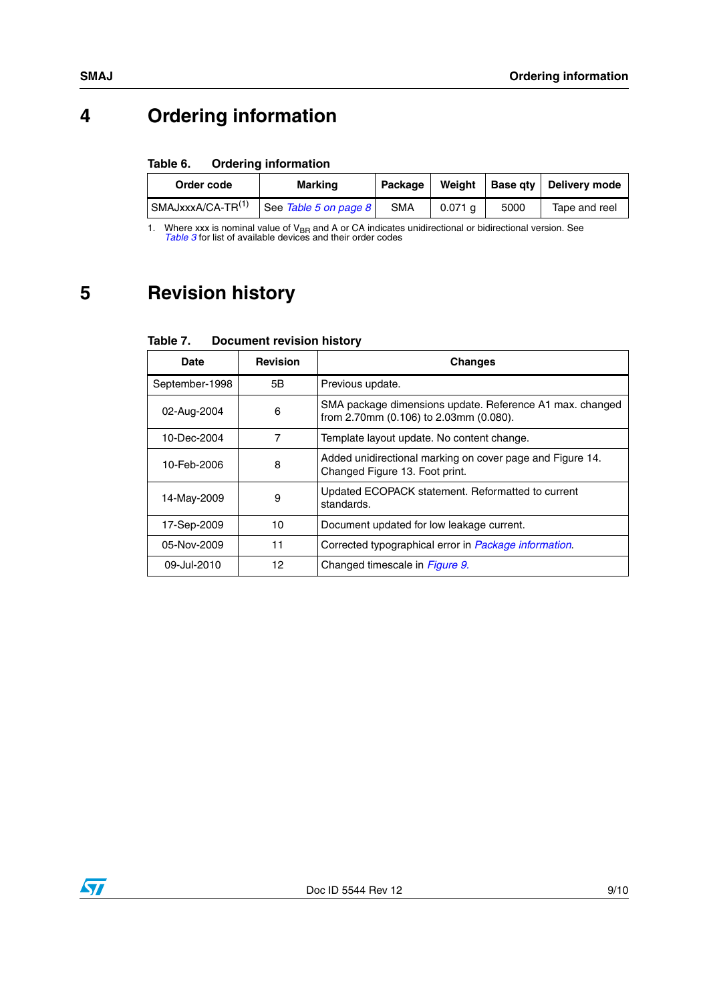## **4 Ordering information**

#### Table 6. **Ordering information**

| Order code        | Marking               | Package    | Weiaht    |      | Base qty   Delivery mode |
|-------------------|-----------------------|------------|-----------|------|--------------------------|
| SMAJxxxA/CA-TR(1) | See Table 5 on page 8 | <b>SMA</b> | $0.071$ a | 5000 | Tape and reel            |

1. Where xxx is nominal value of V<sub>BR</sub> and A or CA indicates unidirectional or bidirectional version. See [Table 3](#page-2-0) for list of available devices and their order codes

## **5 Revision history**

#### Table 7. **Document revision history**

| Date           | <b>Revision</b> | <b>Changes</b>                                                                                     |
|----------------|-----------------|----------------------------------------------------------------------------------------------------|
| September-1998 | 5Β              | Previous update.                                                                                   |
| 02-Aug-2004    | 6               | SMA package dimensions update. Reference A1 max. changed<br>from 2.70mm (0.106) to 2.03mm (0.080). |
| 10-Dec-2004    | 7               | Template layout update. No content change.                                                         |
| 10-Feb-2006    | 8               | Added unidirectional marking on cover page and Figure 14.<br>Changed Figure 13. Foot print.        |
| 14-May-2009    | 9               | Updated ECOPACK statement. Reformatted to current<br>standards.                                    |
| 17-Sep-2009    | 10              | Document updated for low leakage current.                                                          |
| 05-Nov-2009    | 11              | Corrected typographical error in Package information.                                              |
| 09-Jul-2010    | 12              | Changed timescale in <i>Figure 9.</i>                                                              |